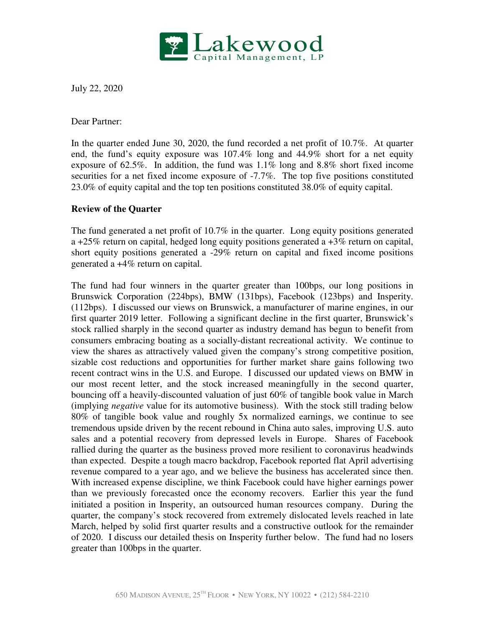

July 22, 2020

Dear Partner:

In the quarter ended June 30, 2020, the fund recorded a net profit of 10.7%. At quarter end, the fund's equity exposure was 107.4% long and 44.9% short for a net equity exposure of 62.5%. In addition, the fund was 1.1% long and 8.8% short fixed income securities for a net fixed income exposure of -7.7%. The top five positions constituted 23.0% of equity capital and the top ten positions constituted 38.0% of equity capital.

## **Review of the Quarter**

The fund generated a net profit of 10.7% in the quarter. Long equity positions generated a +25% return on capital, hedged long equity positions generated a  $+3\%$  return on capital, short equity positions generated a -29% return on capital and fixed income positions generated a +4% return on capital.

The fund had four winners in the quarter greater than 100bps, our long positions in Brunswick Corporation (224bps), BMW (131bps), Facebook (123bps) and Insperity. (112bps). I discussed our views on Brunswick, a manufacturer of marine engines, in our first quarter 2019 letter. Following a significant decline in the first quarter, Brunswick's stock rallied sharply in the second quarter as industry demand has begun to benefit from consumers embracing boating as a socially-distant recreational activity. We continue to view the shares as attractively valued given the company's strong competitive position, sizable cost reductions and opportunities for further market share gains following two recent contract wins in the U.S. and Europe. I discussed our updated views on BMW in our most recent letter, and the stock increased meaningfully in the second quarter, bouncing off a heavily-discounted valuation of just 60% of tangible book value in March (implying *negative* value for its automotive business). With the stock still trading below 80% of tangible book value and roughly 5x normalized earnings, we continue to see tremendous upside driven by the recent rebound in China auto sales, improving U.S. auto sales and a potential recovery from depressed levels in Europe. Shares of Facebook rallied during the quarter as the business proved more resilient to coronavirus headwinds than expected. Despite a tough macro backdrop, Facebook reported flat April advertising revenue compared to a year ago, and we believe the business has accelerated since then. With increased expense discipline, we think Facebook could have higher earnings power than we previously forecasted once the economy recovers. Earlier this year the fund initiated a position in Insperity, an outsourced human resources company. During the quarter, the company's stock recovered from extremely dislocated levels reached in late March, helped by solid first quarter results and a constructive outlook for the remainder of 2020. I discuss our detailed thesis on Insperity further below. The fund had no losers greater than 100bps in the quarter.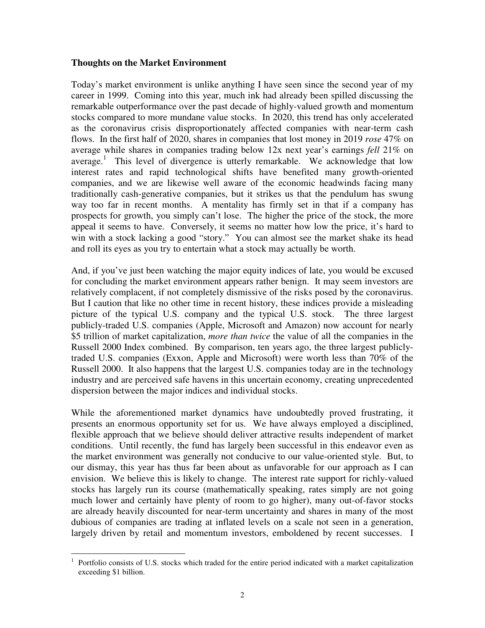#### **Thoughts on the Market Environment**

Today's market environment is unlike anything I have seen since the second year of my career in 1999. Coming into this year, much ink had already been spilled discussing the remarkable outperformance over the past decade of highly-valued growth and momentum stocks compared to more mundane value stocks. In 2020, this trend has only accelerated as the coronavirus crisis disproportionately affected companies with near-term cash flows. In the first half of 2020, shares in companies that lost money in 2019 *rose* 47% on average while shares in companies trading below 12x next year's earnings *fell* 21% on average.<sup>1</sup> This level of divergence is utterly remarkable. We acknowledge that low interest rates and rapid technological shifts have benefited many growth-oriented companies, and we are likewise well aware of the economic headwinds facing many traditionally cash-generative companies, but it strikes us that the pendulum has swung way too far in recent months. A mentality has firmly set in that if a company has prospects for growth, you simply can't lose. The higher the price of the stock, the more appeal it seems to have. Conversely, it seems no matter how low the price, it's hard to win with a stock lacking a good "story." You can almost see the market shake its head and roll its eyes as you try to entertain what a stock may actually be worth.

And, if you've just been watching the major equity indices of late, you would be excused for concluding the market environment appears rather benign. It may seem investors are relatively complacent, if not completely dismissive of the risks posed by the coronavirus. But I caution that like no other time in recent history, these indices provide a misleading picture of the typical U.S. company and the typical U.S. stock. The three largest publicly-traded U.S. companies (Apple, Microsoft and Amazon) now account for nearly \$5 trillion of market capitalization, *more than twice* the value of all the companies in the Russell 2000 Index combined. By comparison, ten years ago, the three largest publiclytraded U.S. companies (Exxon, Apple and Microsoft) were worth less than 70% of the Russell 2000. It also happens that the largest U.S. companies today are in the technology industry and are perceived safe havens in this uncertain economy, creating unprecedented dispersion between the major indices and individual stocks.

While the aforementioned market dynamics have undoubtedly proved frustrating, it presents an enormous opportunity set for us. We have always employed a disciplined, flexible approach that we believe should deliver attractive results independent of market conditions. Until recently, the fund has largely been successful in this endeavor even as the market environment was generally not conducive to our value-oriented style. But, to our dismay, this year has thus far been about as unfavorable for our approach as I can envision. We believe this is likely to change. The interest rate support for richly-valued stocks has largely run its course (mathematically speaking, rates simply are not going much lower and certainly have plenty of room to go higher), many out-of-favor stocks are already heavily discounted for near-term uncertainty and shares in many of the most dubious of companies are trading at inflated levels on a scale not seen in a generation, largely driven by retail and momentum investors, emboldened by recent successes. I

 $\overline{a}$ 1 Portfolio consists of U.S. stocks which traded for the entire period indicated with a market capitalization exceeding \$1 billion.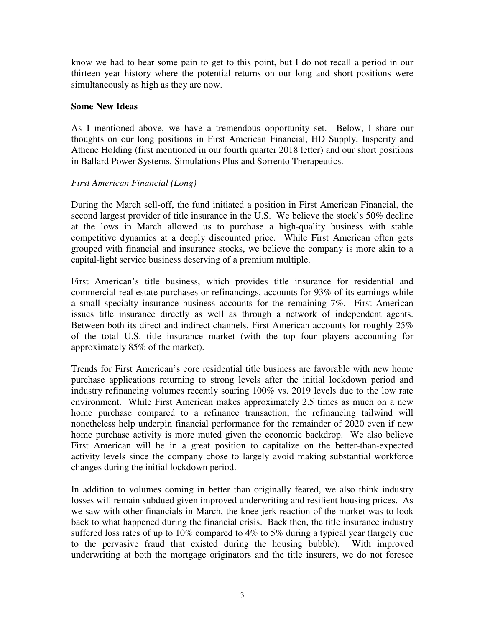know we had to bear some pain to get to this point, but I do not recall a period in our thirteen year history where the potential returns on our long and short positions were simultaneously as high as they are now.

### **Some New Ideas**

As I mentioned above, we have a tremendous opportunity set. Below, I share our thoughts on our long positions in First American Financial, HD Supply, Insperity and Athene Holding (first mentioned in our fourth quarter 2018 letter) and our short positions in Ballard Power Systems, Simulations Plus and Sorrento Therapeutics.

# *First American Financial (Long)*

During the March sell-off, the fund initiated a position in First American Financial, the second largest provider of title insurance in the U.S. We believe the stock's 50% decline at the lows in March allowed us to purchase a high-quality business with stable competitive dynamics at a deeply discounted price. While First American often gets grouped with financial and insurance stocks, we believe the company is more akin to a capital-light service business deserving of a premium multiple.

First American's title business, which provides title insurance for residential and commercial real estate purchases or refinancings, accounts for 93% of its earnings while a small specialty insurance business accounts for the remaining 7%. First American issues title insurance directly as well as through a network of independent agents. Between both its direct and indirect channels, First American accounts for roughly 25% of the total U.S. title insurance market (with the top four players accounting for approximately 85% of the market).

Trends for First American's core residential title business are favorable with new home purchase applications returning to strong levels after the initial lockdown period and industry refinancing volumes recently soaring 100% vs. 2019 levels due to the low rate environment. While First American makes approximately 2.5 times as much on a new home purchase compared to a refinance transaction, the refinancing tailwind will nonetheless help underpin financial performance for the remainder of 2020 even if new home purchase activity is more muted given the economic backdrop. We also believe First American will be in a great position to capitalize on the better-than-expected activity levels since the company chose to largely avoid making substantial workforce changes during the initial lockdown period.

In addition to volumes coming in better than originally feared, we also think industry losses will remain subdued given improved underwriting and resilient housing prices. As we saw with other financials in March, the knee-jerk reaction of the market was to look back to what happened during the financial crisis. Back then, the title insurance industry suffered loss rates of up to 10% compared to 4% to 5% during a typical year (largely due to the pervasive fraud that existed during the housing bubble). With improved underwriting at both the mortgage originators and the title insurers, we do not foresee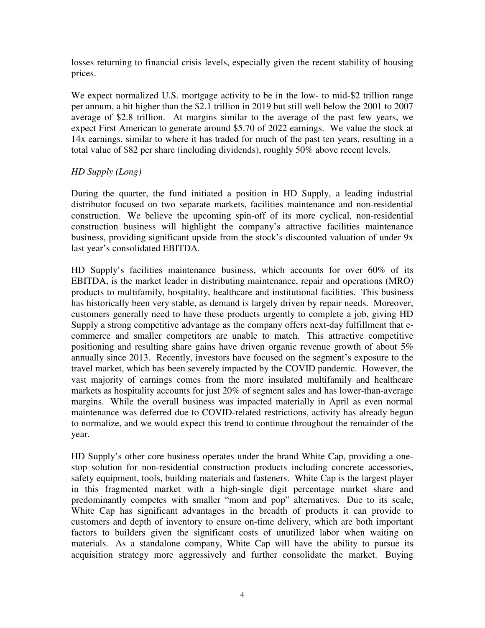losses returning to financial crisis levels, especially given the recent stability of housing prices.

We expect normalized U.S. mortgage activity to be in the low- to mid-\$2 trillion range per annum, a bit higher than the \$2.1 trillion in 2019 but still well below the 2001 to 2007 average of \$2.8 trillion. At margins similar to the average of the past few years, we expect First American to generate around \$5.70 of 2022 earnings. We value the stock at 14x earnings, similar to where it has traded for much of the past ten years, resulting in a total value of \$82 per share (including dividends), roughly 50% above recent levels.

# *HD Supply (Long)*

During the quarter, the fund initiated a position in HD Supply, a leading industrial distributor focused on two separate markets, facilities maintenance and non-residential construction. We believe the upcoming spin-off of its more cyclical, non-residential construction business will highlight the company's attractive facilities maintenance business, providing significant upside from the stock's discounted valuation of under 9x last year's consolidated EBITDA.

HD Supply's facilities maintenance business, which accounts for over 60% of its EBITDA, is the market leader in distributing maintenance, repair and operations (MRO) products to multifamily, hospitality, healthcare and institutional facilities. This business has historically been very stable, as demand is largely driven by repair needs. Moreover, customers generally need to have these products urgently to complete a job, giving HD Supply a strong competitive advantage as the company offers next-day fulfillment that ecommerce and smaller competitors are unable to match. This attractive competitive positioning and resulting share gains have driven organic revenue growth of about 5% annually since 2013. Recently, investors have focused on the segment's exposure to the travel market, which has been severely impacted by the COVID pandemic. However, the vast majority of earnings comes from the more insulated multifamily and healthcare markets as hospitality accounts for just 20% of segment sales and has lower-than-average margins. While the overall business was impacted materially in April as even normal maintenance was deferred due to COVID-related restrictions, activity has already begun to normalize, and we would expect this trend to continue throughout the remainder of the year.

HD Supply's other core business operates under the brand White Cap, providing a onestop solution for non-residential construction products including concrete accessories, safety equipment, tools, building materials and fasteners. White Cap is the largest player in this fragmented market with a high-single digit percentage market share and predominantly competes with smaller "mom and pop" alternatives. Due to its scale, White Cap has significant advantages in the breadth of products it can provide to customers and depth of inventory to ensure on-time delivery, which are both important factors to builders given the significant costs of unutilized labor when waiting on materials. As a standalone company, White Cap will have the ability to pursue its acquisition strategy more aggressively and further consolidate the market. Buying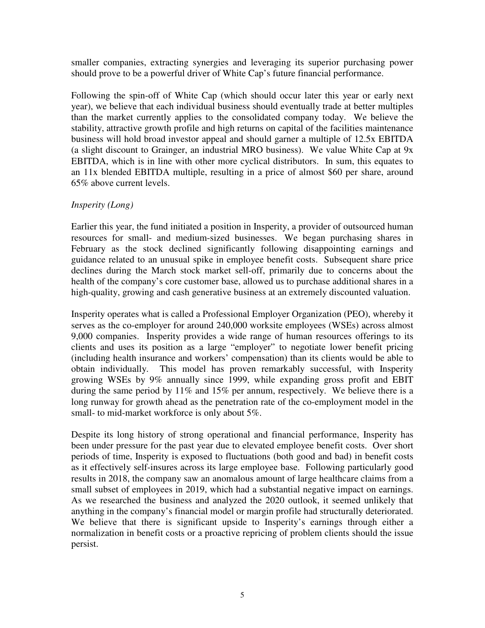smaller companies, extracting synergies and leveraging its superior purchasing power should prove to be a powerful driver of White Cap's future financial performance.

Following the spin-off of White Cap (which should occur later this year or early next year), we believe that each individual business should eventually trade at better multiples than the market currently applies to the consolidated company today. We believe the stability, attractive growth profile and high returns on capital of the facilities maintenance business will hold broad investor appeal and should garner a multiple of 12.5x EBITDA (a slight discount to Grainger, an industrial MRO business). We value White Cap at 9x EBITDA, which is in line with other more cyclical distributors. In sum, this equates to an 11x blended EBITDA multiple, resulting in a price of almost \$60 per share, around 65% above current levels.

# *Insperity (Long)*

Earlier this year, the fund initiated a position in Insperity, a provider of outsourced human resources for small- and medium-sized businesses. We began purchasing shares in February as the stock declined significantly following disappointing earnings and guidance related to an unusual spike in employee benefit costs. Subsequent share price declines during the March stock market sell-off, primarily due to concerns about the health of the company's core customer base, allowed us to purchase additional shares in a high-quality, growing and cash generative business at an extremely discounted valuation.

Insperity operates what is called a Professional Employer Organization (PEO), whereby it serves as the co-employer for around 240,000 worksite employees (WSEs) across almost 9,000 companies. Insperity provides a wide range of human resources offerings to its clients and uses its position as a large "employer" to negotiate lower benefit pricing (including health insurance and workers' compensation) than its clients would be able to obtain individually. This model has proven remarkably successful, with Insperity growing WSEs by 9% annually since 1999, while expanding gross profit and EBIT during the same period by 11% and 15% per annum, respectively. We believe there is a long runway for growth ahead as the penetration rate of the co-employment model in the small- to mid-market workforce is only about 5%.

Despite its long history of strong operational and financial performance, Insperity has been under pressure for the past year due to elevated employee benefit costs. Over short periods of time, Insperity is exposed to fluctuations (both good and bad) in benefit costs as it effectively self-insures across its large employee base. Following particularly good results in 2018, the company saw an anomalous amount of large healthcare claims from a small subset of employees in 2019, which had a substantial negative impact on earnings. As we researched the business and analyzed the 2020 outlook, it seemed unlikely that anything in the company's financial model or margin profile had structurally deteriorated. We believe that there is significant upside to Insperity's earnings through either a normalization in benefit costs or a proactive repricing of problem clients should the issue persist.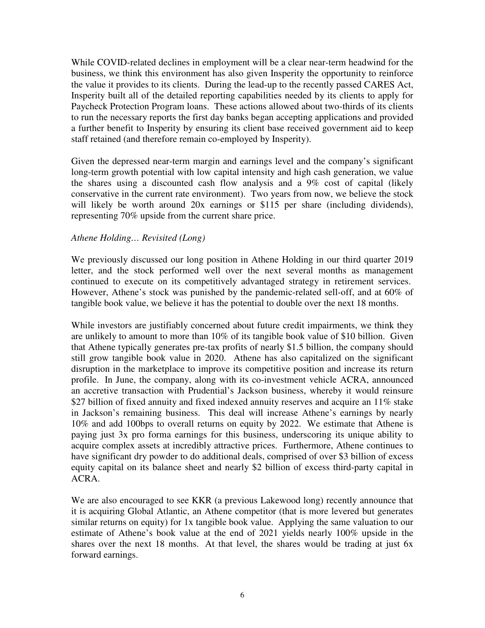While COVID-related declines in employment will be a clear near-term headwind for the business, we think this environment has also given Insperity the opportunity to reinforce the value it provides to its clients. During the lead-up to the recently passed CARES Act, Insperity built all of the detailed reporting capabilities needed by its clients to apply for Paycheck Protection Program loans. These actions allowed about two-thirds of its clients to run the necessary reports the first day banks began accepting applications and provided a further benefit to Insperity by ensuring its client base received government aid to keep staff retained (and therefore remain co-employed by Insperity).

Given the depressed near-term margin and earnings level and the company's significant long-term growth potential with low capital intensity and high cash generation, we value the shares using a discounted cash flow analysis and a 9% cost of capital (likely conservative in the current rate environment). Two years from now, we believe the stock will likely be worth around 20x earnings or \$115 per share (including dividends), representing 70% upside from the current share price.

### *Athene Holding… Revisited (Long)*

We previously discussed our long position in Athene Holding in our third quarter 2019 letter, and the stock performed well over the next several months as management continued to execute on its competitively advantaged strategy in retirement services. However, Athene's stock was punished by the pandemic-related sell-off, and at 60% of tangible book value, we believe it has the potential to double over the next 18 months.

While investors are justifiably concerned about future credit impairments, we think they are unlikely to amount to more than 10% of its tangible book value of \$10 billion. Given that Athene typically generates pre-tax profits of nearly \$1.5 billion, the company should still grow tangible book value in 2020. Athene has also capitalized on the significant disruption in the marketplace to improve its competitive position and increase its return profile. In June, the company, along with its co-investment vehicle ACRA, announced an accretive transaction with Prudential's Jackson business, whereby it would reinsure \$27 billion of fixed annuity and fixed indexed annuity reserves and acquire an 11% stake in Jackson's remaining business. This deal will increase Athene's earnings by nearly 10% and add 100bps to overall returns on equity by 2022. We estimate that Athene is paying just 3x pro forma earnings for this business, underscoring its unique ability to acquire complex assets at incredibly attractive prices. Furthermore, Athene continues to have significant dry powder to do additional deals, comprised of over \$3 billion of excess equity capital on its balance sheet and nearly \$2 billion of excess third-party capital in ACRA.

We are also encouraged to see KKR (a previous Lakewood long) recently announce that it is acquiring Global Atlantic, an Athene competitor (that is more levered but generates similar returns on equity) for 1x tangible book value. Applying the same valuation to our estimate of Athene's book value at the end of 2021 yields nearly 100% upside in the shares over the next 18 months. At that level, the shares would be trading at just 6x forward earnings.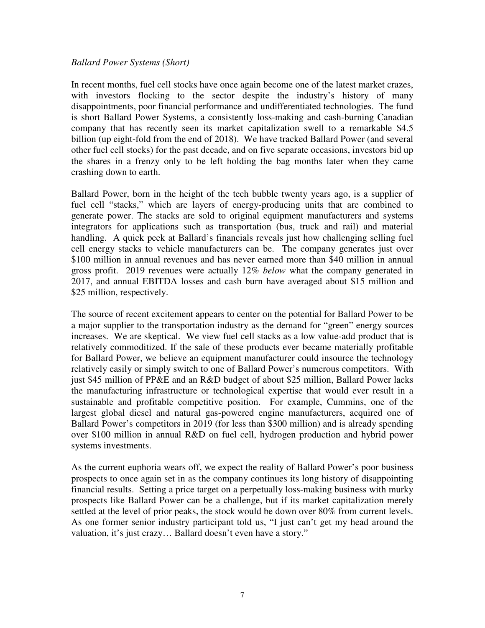#### *Ballard Power Systems (Short)*

In recent months, fuel cell stocks have once again become one of the latest market crazes, with investors flocking to the sector despite the industry's history of many disappointments, poor financial performance and undifferentiated technologies. The fund is short Ballard Power Systems, a consistently loss-making and cash-burning Canadian company that has recently seen its market capitalization swell to a remarkable \$4.5 billion (up eight-fold from the end of 2018). We have tracked Ballard Power (and several other fuel cell stocks) for the past decade, and on five separate occasions, investors bid up the shares in a frenzy only to be left holding the bag months later when they came crashing down to earth.

Ballard Power, born in the height of the tech bubble twenty years ago, is a supplier of fuel cell "stacks," which are layers of energy-producing units that are combined to generate power. The stacks are sold to original equipment manufacturers and systems integrators for applications such as transportation (bus, truck and rail) and material handling. A quick peek at Ballard's financials reveals just how challenging selling fuel cell energy stacks to vehicle manufacturers can be. The company generates just over \$100 million in annual revenues and has never earned more than \$40 million in annual gross profit. 2019 revenues were actually 12% *below* what the company generated in 2017, and annual EBITDA losses and cash burn have averaged about \$15 million and \$25 million, respectively.

The source of recent excitement appears to center on the potential for Ballard Power to be a major supplier to the transportation industry as the demand for "green" energy sources increases. We are skeptical. We view fuel cell stacks as a low value-add product that is relatively commoditized. If the sale of these products ever became materially profitable for Ballard Power, we believe an equipment manufacturer could insource the technology relatively easily or simply switch to one of Ballard Power's numerous competitors. With just \$45 million of PP&E and an R&D budget of about \$25 million, Ballard Power lacks the manufacturing infrastructure or technological expertise that would ever result in a sustainable and profitable competitive position. For example, Cummins, one of the largest global diesel and natural gas-powered engine manufacturers, acquired one of Ballard Power's competitors in 2019 (for less than \$300 million) and is already spending over \$100 million in annual R&D on fuel cell, hydrogen production and hybrid power systems investments.

As the current euphoria wears off, we expect the reality of Ballard Power's poor business prospects to once again set in as the company continues its long history of disappointing financial results. Setting a price target on a perpetually loss-making business with murky prospects like Ballard Power can be a challenge, but if its market capitalization merely settled at the level of prior peaks, the stock would be down over 80% from current levels. As one former senior industry participant told us, "I just can't get my head around the valuation, it's just crazy… Ballard doesn't even have a story."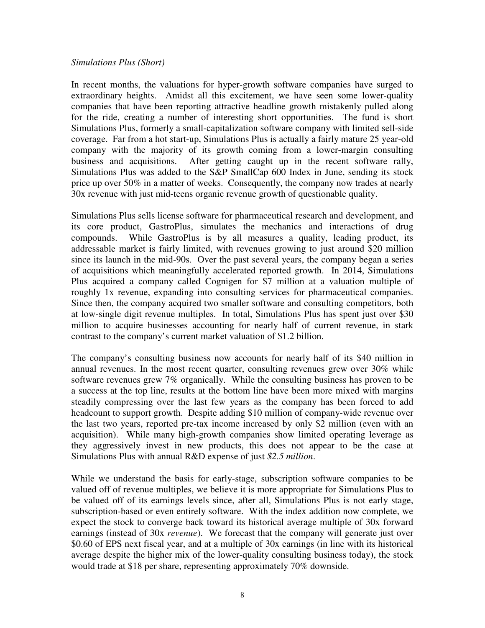#### *Simulations Plus (Short)*

In recent months, the valuations for hyper-growth software companies have surged to extraordinary heights. Amidst all this excitement, we have seen some lower-quality companies that have been reporting attractive headline growth mistakenly pulled along for the ride, creating a number of interesting short opportunities. The fund is short Simulations Plus, formerly a small-capitalization software company with limited sell-side coverage. Far from a hot start-up, Simulations Plus is actually a fairly mature 25 year-old company with the majority of its growth coming from a lower-margin consulting business and acquisitions. After getting caught up in the recent software rally, Simulations Plus was added to the S&P SmallCap 600 Index in June, sending its stock price up over 50% in a matter of weeks. Consequently, the company now trades at nearly 30x revenue with just mid-teens organic revenue growth of questionable quality.

Simulations Plus sells license software for pharmaceutical research and development, and its core product, GastroPlus, simulates the mechanics and interactions of drug compounds. While GastroPlus is by all measures a quality, leading product, its addressable market is fairly limited, with revenues growing to just around \$20 million since its launch in the mid-90s. Over the past several years, the company began a series of acquisitions which meaningfully accelerated reported growth. In 2014, Simulations Plus acquired a company called Cognigen for \$7 million at a valuation multiple of roughly 1x revenue, expanding into consulting services for pharmaceutical companies. Since then, the company acquired two smaller software and consulting competitors, both at low-single digit revenue multiples. In total, Simulations Plus has spent just over \$30 million to acquire businesses accounting for nearly half of current revenue, in stark contrast to the company's current market valuation of \$1.2 billion.

The company's consulting business now accounts for nearly half of its \$40 million in annual revenues. In the most recent quarter, consulting revenues grew over 30% while software revenues grew 7% organically. While the consulting business has proven to be a success at the top line, results at the bottom line have been more mixed with margins steadily compressing over the last few years as the company has been forced to add headcount to support growth. Despite adding \$10 million of company-wide revenue over the last two years, reported pre-tax income increased by only \$2 million (even with an acquisition). While many high-growth companies show limited operating leverage as they aggressively invest in new products, this does not appear to be the case at Simulations Plus with annual R&D expense of just *\$2.5 million*.

While we understand the basis for early-stage, subscription software companies to be valued off of revenue multiples, we believe it is more appropriate for Simulations Plus to be valued off of its earnings levels since, after all, Simulations Plus is not early stage, subscription-based or even entirely software. With the index addition now complete, we expect the stock to converge back toward its historical average multiple of 30x forward earnings (instead of 30x *revenue*). We forecast that the company will generate just over \$0.60 of EPS next fiscal year, and at a multiple of 30x earnings (in line with its historical average despite the higher mix of the lower-quality consulting business today), the stock would trade at \$18 per share, representing approximately 70% downside.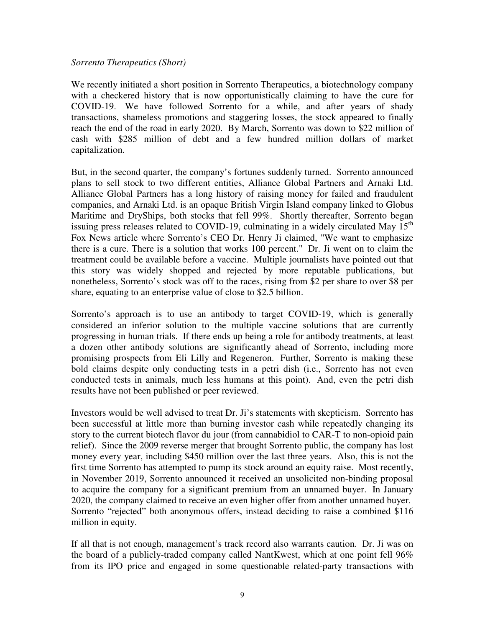#### *Sorrento Therapeutics (Short)*

We recently initiated a short position in Sorrento Therapeutics, a biotechnology company with a checkered history that is now opportunistically claiming to have the cure for COVID-19. We have followed Sorrento for a while, and after years of shady transactions, shameless promotions and staggering losses, the stock appeared to finally reach the end of the road in early 2020. By March, Sorrento was down to \$22 million of cash with \$285 million of debt and a few hundred million dollars of market capitalization.

But, in the second quarter, the company's fortunes suddenly turned. Sorrento announced plans to sell stock to two different entities, Alliance Global Partners and Arnaki Ltd. Alliance Global Partners has a long history of raising money for failed and fraudulent companies, and Arnaki Ltd. is an opaque British Virgin Island company linked to Globus Maritime and DryShips, both stocks that fell 99%. Shortly thereafter, Sorrento began issuing press releases related to COVID-19, culminating in a widely circulated May  $15<sup>th</sup>$ Fox News article where Sorrento's CEO Dr. Henry Ji claimed, "We want to emphasize there is a cure. There is a solution that works 100 percent." Dr. Ji went on to claim the treatment could be available before a vaccine. Multiple journalists have pointed out that this story was widely shopped and rejected by more reputable publications, but nonetheless, Sorrento's stock was off to the races, rising from \$2 per share to over \$8 per share, equating to an enterprise value of close to \$2.5 billion.

Sorrento's approach is to use an antibody to target COVID-19, which is generally considered an inferior solution to the multiple vaccine solutions that are currently progressing in human trials. If there ends up being a role for antibody treatments, at least a dozen other antibody solutions are significantly ahead of Sorrento, including more promising prospects from Eli Lilly and Regeneron. Further, Sorrento is making these bold claims despite only conducting tests in a petri dish (i.e., Sorrento has not even conducted tests in animals, much less humans at this point). And, even the petri dish results have not been published or peer reviewed.

Investors would be well advised to treat Dr. Ji's statements with skepticism. Sorrento has been successful at little more than burning investor cash while repeatedly changing its story to the current biotech flavor du jour (from cannabidiol to CAR-T to non-opioid pain relief). Since the 2009 reverse merger that brought Sorrento public, the company has lost money every year, including \$450 million over the last three years. Also, this is not the first time Sorrento has attempted to pump its stock around an equity raise. Most recently, in November 2019, Sorrento announced it received an unsolicited non-binding proposal to acquire the company for a significant premium from an unnamed buyer. In January 2020, the company claimed to receive an even higher offer from another unnamed buyer. Sorrento "rejected" both anonymous offers, instead deciding to raise a combined \$116 million in equity.

If all that is not enough, management's track record also warrants caution. Dr. Ji was on the board of a publicly-traded company called NantKwest, which at one point fell 96% from its IPO price and engaged in some questionable related-party transactions with